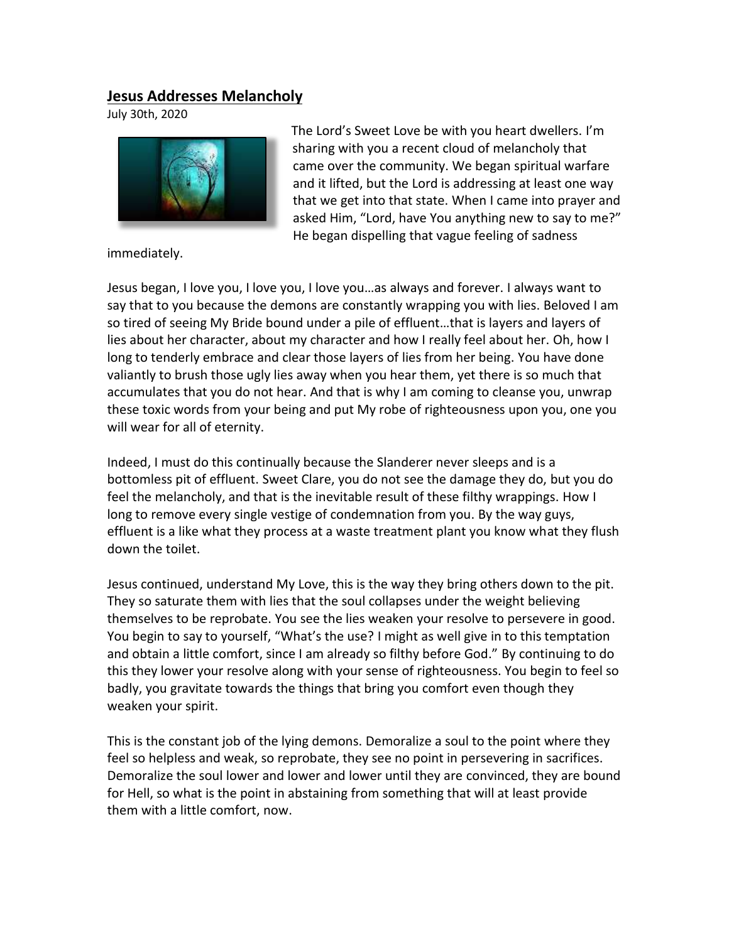## **Jesus Addresses Melancholy**

July 30th, 2020



The Lord's Sweet Love be with you heart dwellers. I'm sharing with you a recent cloud of melancholy that came over the community. We began spiritual warfare and it lifted, but the Lord is addressing at least one way that we get into that state. When I came into prayer and asked Him, "Lord, have You anything new to say to me?" He began dispelling that vague feeling of sadness

immediately.

Jesus began, I love you, I love you, I love you…as always and forever. I always want to say that to you because the demons are constantly wrapping you with lies. Beloved I am so tired of seeing My Bride bound under a pile of effluent…that is layers and layers of lies about her character, about my character and how I really feel about her. Oh, how I long to tenderly embrace and clear those layers of lies from her being. You have done valiantly to brush those ugly lies away when you hear them, yet there is so much that accumulates that you do not hear. And that is why I am coming to cleanse you, unwrap these toxic words from your being and put My robe of righteousness upon you, one you will wear for all of eternity.

Indeed, I must do this continually because the Slanderer never sleeps and is a bottomless pit of effluent. Sweet Clare, you do not see the damage they do, but you do feel the melancholy, and that is the inevitable result of these filthy wrappings. How I long to remove every single vestige of condemnation from you. By the way guys, effluent is a like what they process at a waste treatment plant you know what they flush down the toilet.

Jesus continued, understand My Love, this is the way they bring others down to the pit. They so saturate them with lies that the soul collapses under the weight believing themselves to be reprobate. You see the lies weaken your resolve to persevere in good. You begin to say to yourself, "What's the use? I might as well give in to this temptation and obtain a little comfort, since I am already so filthy before God." By continuing to do this they lower your resolve along with your sense of righteousness. You begin to feel so badly, you gravitate towards the things that bring you comfort even though they weaken your spirit.   

This is the constant job of the lying demons. Demoralize a soul to the point where they feel so helpless and weak, so reprobate, they see no point in persevering in sacrifices. Demoralize the soul lower and lower and lower until they are convinced, they are bound for Hell, so what is the point in abstaining from something that will at least provide them with a little comfort, now.